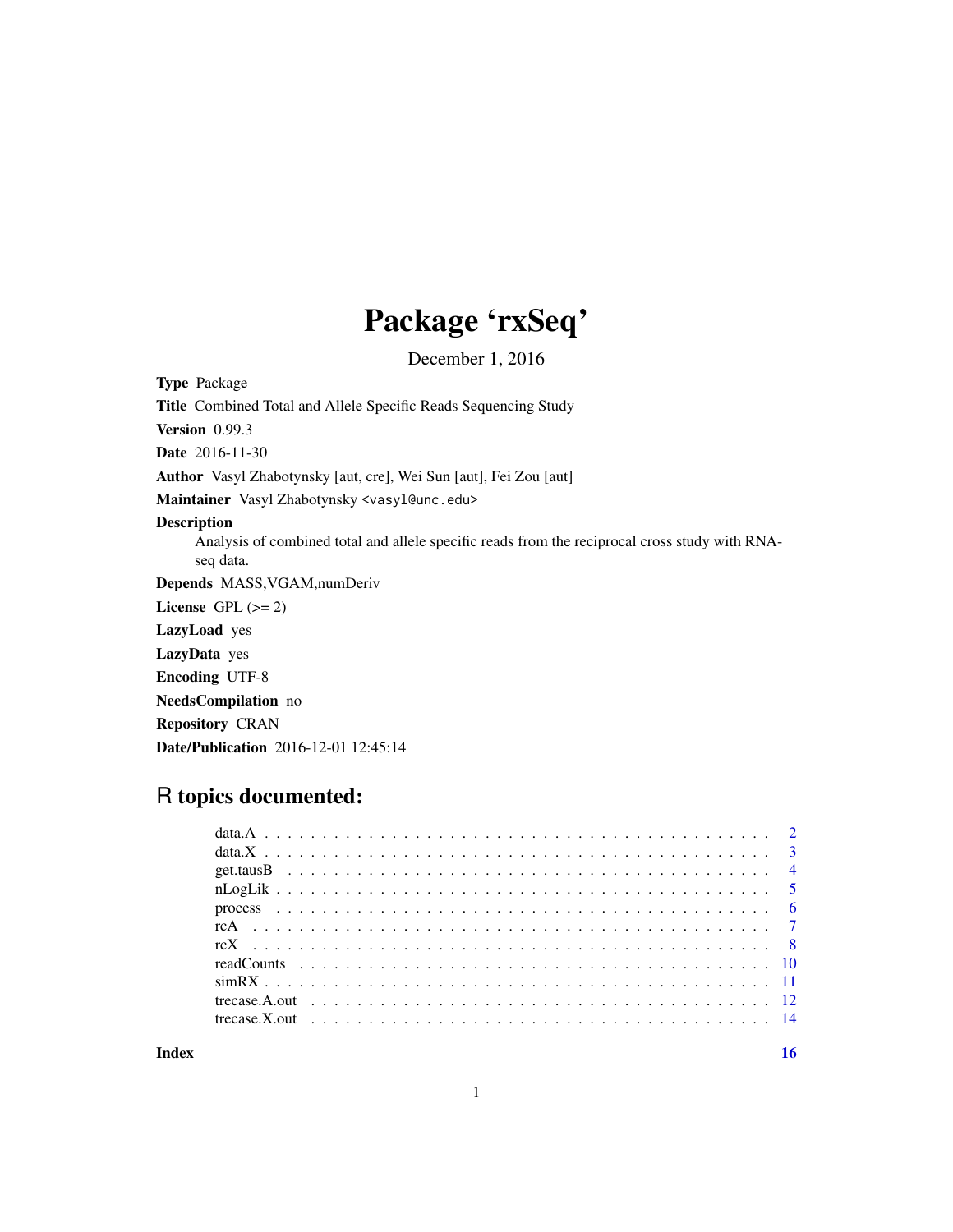## Package 'rxSeq'

December 1, 2016

Type Package

Title Combined Total and Allele Specific Reads Sequencing Study

Version 0.99.3

Date 2016-11-30

Author Vasyl Zhabotynsky [aut, cre], Wei Sun [aut], Fei Zou [aut]

Maintainer Vasyl Zhabotynsky <vasyl@unc.edu>

#### Description

Analysis of combined total and allele specific reads from the reciprocal cross study with RNAseq data.

Depends MASS,VGAM,numDeriv

License GPL  $(>= 2)$ 

LazyLoad yes

LazyData yes

Encoding UTF-8

NeedsCompilation no

Repository CRAN

Date/Publication 2016-12-01 12:45:14

### R topics documented:

**Index** and the contract of the contract of the contract of the contract of the contract of the contract of the contract of the contract of the contract of the contract of the contract of the contract of the contract of th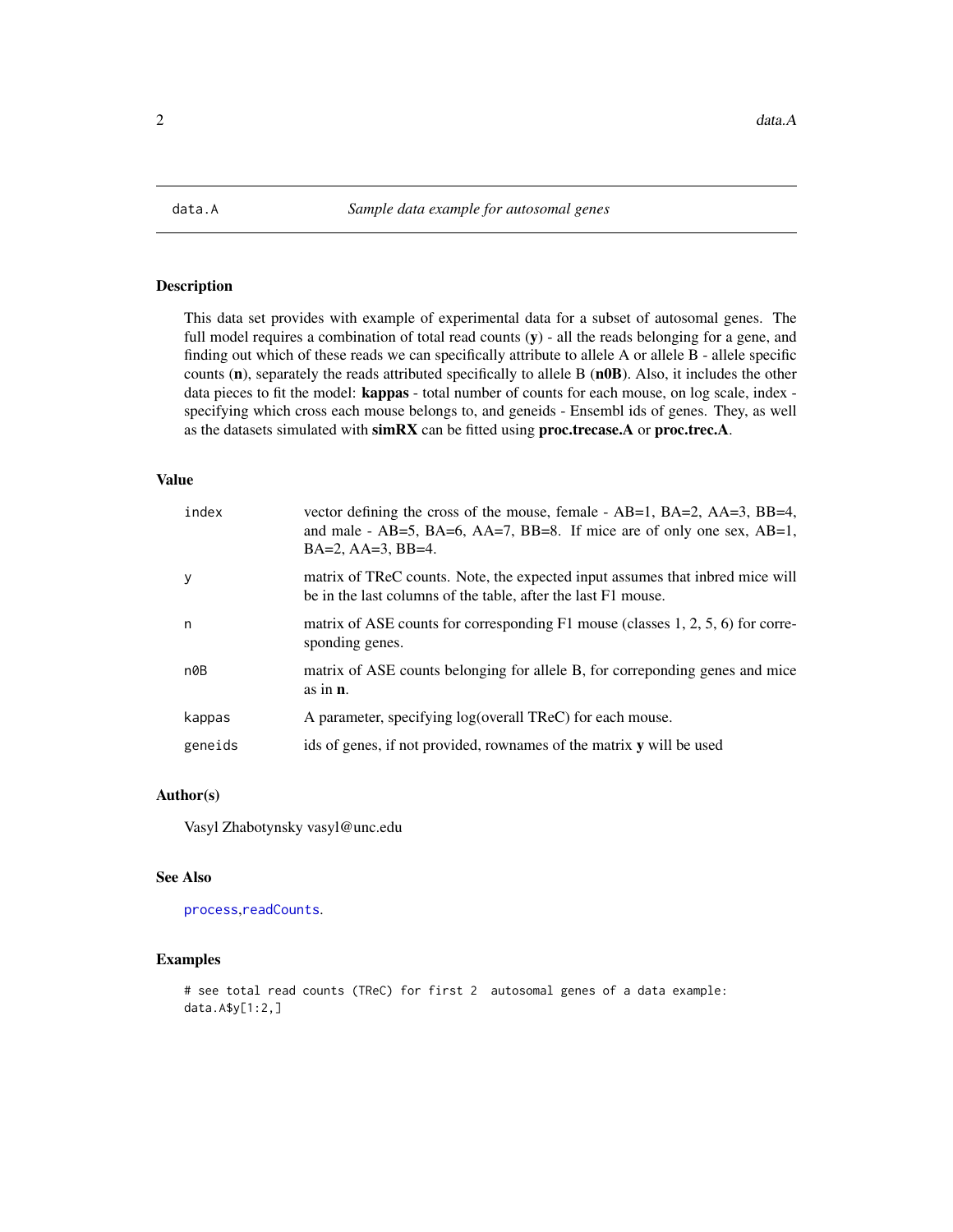<span id="page-1-1"></span><span id="page-1-0"></span>

This data set provides with example of experimental data for a subset of autosomal genes. The full model requires a combination of total read counts  $(y)$  - all the reads belonging for a gene, and finding out which of these reads we can specifically attribute to allele A or allele B - allele specific counts (n), separately the reads attributed specifically to allele B (n0B). Also, it includes the other data pieces to fit the model: kappas - total number of counts for each mouse, on log scale, index specifying which cross each mouse belongs to, and geneids - Ensembl ids of genes. They, as well as the datasets simulated with simRX can be fitted using proc.trecase.A or proc.trec.A.

#### Value

| index   | vector defining the cross of the mouse, female - AB=1, BA=2, AA=3, BB=4,<br>and male - $AB=5$ , $BA=6$ , $AA=7$ , $BB=8$ . If mice are of only one sex, $AB=1$ ,<br>$BA=2$ , $AA=3$ , $BB=4$ . |
|---------|------------------------------------------------------------------------------------------------------------------------------------------------------------------------------------------------|
| y       | matrix of TReC counts. Note, the expected input assumes that inbred mice will<br>be in the last columns of the table, after the last F1 mouse.                                                 |
| n       | matrix of ASE counts for corresponding $F1$ mouse (classes 1, 2, 5, 6) for corre-<br>sponding genes.                                                                                           |
| n0B     | matrix of ASE counts belonging for allele B, for corresponding genes and mice<br>as in $\mathbf{n}$ .                                                                                          |
| kappas  | A parameter, specifying log(overall TReC) for each mouse.                                                                                                                                      |
| geneids | ids of genes, if not provided, rownames of the matrix y will be used                                                                                                                           |

#### Author(s)

Vasyl Zhabotynsky vasyl@unc.edu

#### See Also

[process](#page-5-1),[readCounts](#page-9-1).

#### Examples

# see total read counts (TReC) for first 2 autosomal genes of a data example: data.A\$y[1:2,]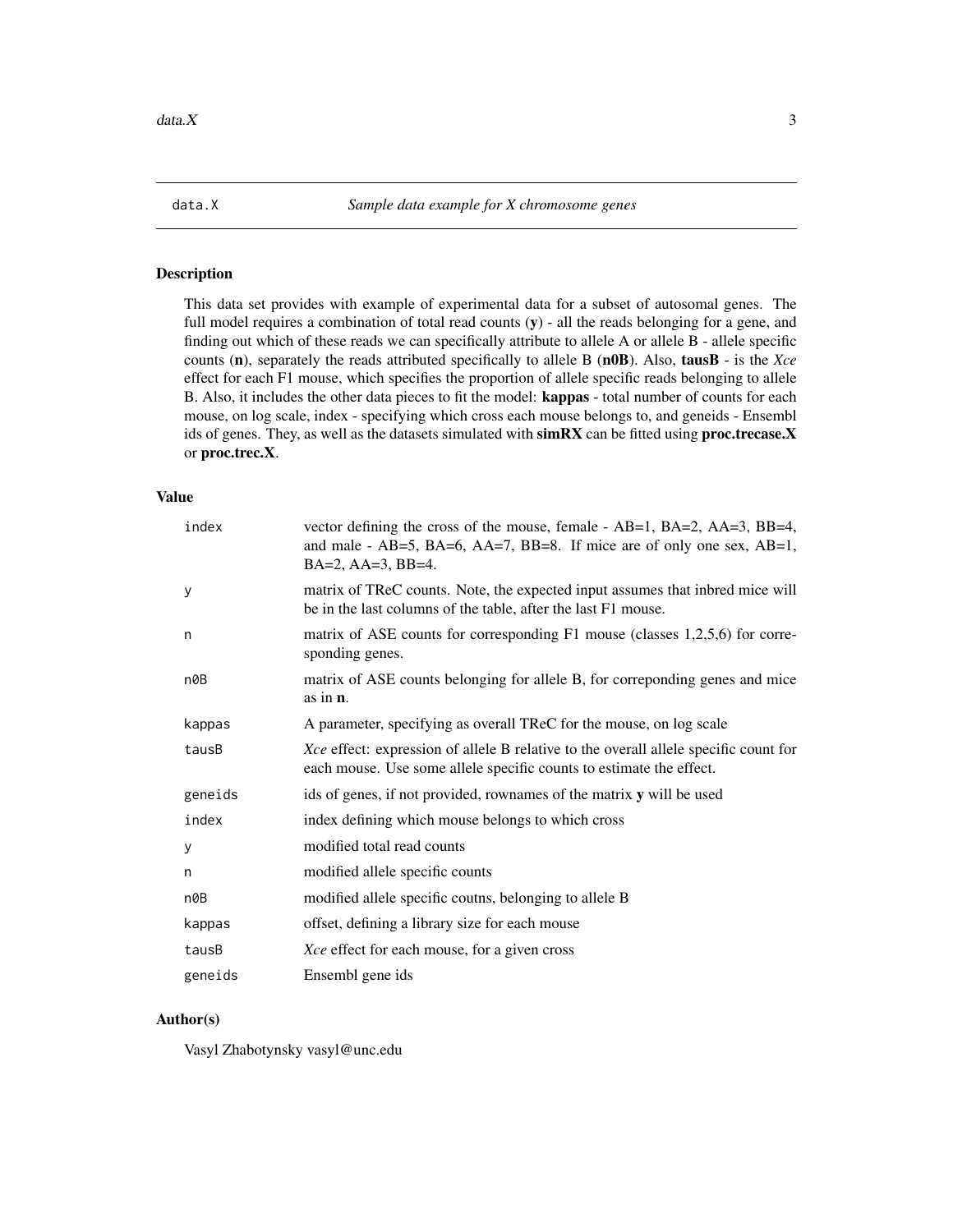<span id="page-2-1"></span><span id="page-2-0"></span>

This data set provides with example of experimental data for a subset of autosomal genes. The full model requires a combination of total read counts  $(y)$  - all the reads belonging for a gene, and finding out which of these reads we can specifically attribute to allele A or allele B - allele specific counts (n), separately the reads attributed specifically to allele B (n0B). Also, tausB - is the *Xce* effect for each F1 mouse, which specifies the proportion of allele specific reads belonging to allele B. Also, it includes the other data pieces to fit the model: kappas - total number of counts for each mouse, on log scale, index - specifying which cross each mouse belongs to, and geneids - Ensembl ids of genes. They, as well as the datasets simulated with simRX can be fitted using proc.trecase.X or proc.trec.X.

#### Value

| index   | vector defining the cross of the mouse, female - $AB=1$ , $BA=2$ , $AA=3$ , $BB=4$ ,<br>and male - AB=5, BA=6, AA=7, BB=8. If mice are of only one sex, AB=1,<br>BA=2, AA=3, BB=4. |
|---------|------------------------------------------------------------------------------------------------------------------------------------------------------------------------------------|
| У       | matrix of TReC counts. Note, the expected input assumes that inbred mice will<br>be in the last columns of the table, after the last F1 mouse.                                     |
| n       | matrix of ASE counts for corresponding F1 mouse (classes 1,2,5,6) for corre-<br>sponding genes.                                                                                    |
| n0B     | matrix of ASE counts belonging for allele B, for correponding genes and mice<br>as in $n$ .                                                                                        |
| kappas  | A parameter, specifying as overall TReC for the mouse, on log scale                                                                                                                |
| tausB   | Xce effect: expression of allele B relative to the overall allele specific count for<br>each mouse. Use some allele specific counts to estimate the effect.                        |
| geneids | ids of genes, if not provided, rownames of the matrix y will be used                                                                                                               |
| index   | index defining which mouse belongs to which cross                                                                                                                                  |
| у       | modified total read counts                                                                                                                                                         |
| n       | modified allele specific counts                                                                                                                                                    |
| n0B     | modified allele specific coutns, belonging to allele B                                                                                                                             |
| kappas  | offset, defining a library size for each mouse                                                                                                                                     |
| tausB   | Xce effect for each mouse, for a given cross                                                                                                                                       |
| geneids | Ensembl gene ids                                                                                                                                                                   |

#### Author(s)

Vasyl Zhabotynsky vasyl@unc.edu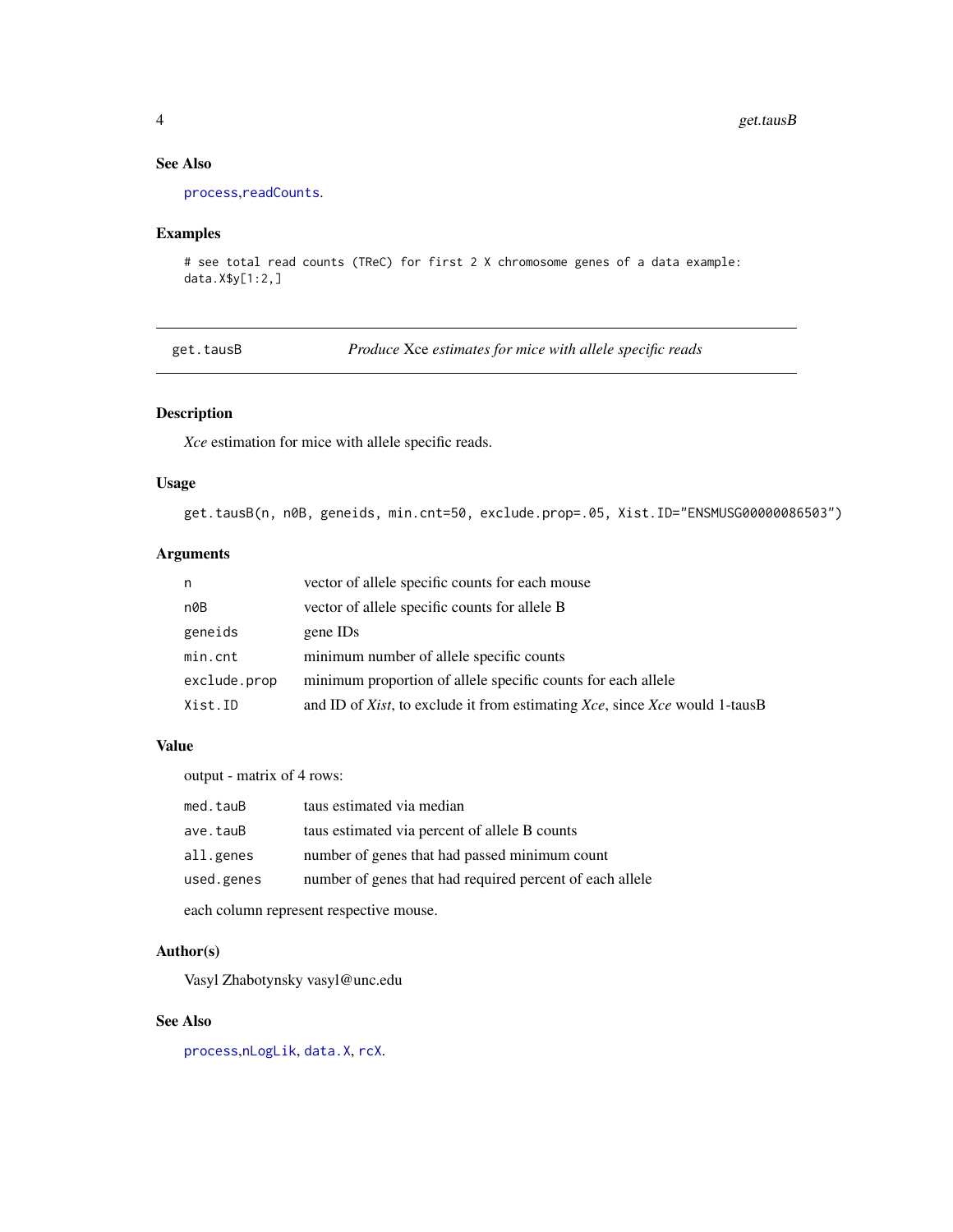#### See Also

[process](#page-5-1),[readCounts](#page-9-1).

#### Examples

```
# see total read counts (TReC) for first 2 X chromosome genes of a data example:
data.X$y[1:2,]
```
<span id="page-3-1"></span>get.tausB *Produce* Xce *estimates for mice with allele specific reads*

#### Description

*Xce* estimation for mice with allele specific reads.

#### Usage

get.tausB(n, n0B, geneids, min.cnt=50, exclude.prop=.05, Xist.ID="ENSMUSG00000086503")

#### Arguments

| n            | vector of allele specific counts for each mouse                            |
|--------------|----------------------------------------------------------------------------|
| n0B          | vector of allele specific counts for allele B                              |
| geneids      | gene ID <sub>s</sub>                                                       |
| min.cnt      | minimum number of allele specific counts                                   |
| exclude.prop | minimum proportion of allele specific counts for each allele               |
| Xist.ID      | and ID of Xist, to exclude it from estimating Xce, since Xce would 1-tausB |

#### Value

output - matrix of 4 rows:

| med.tauB   | taus estimated via median                                |
|------------|----------------------------------------------------------|
| ave.tauB   | taus estimated via percent of allele B counts            |
| all.genes  | number of genes that had passed minimum count            |
| used.genes | number of genes that had required percent of each allele |
|            |                                                          |

each column represent respective mouse.

#### Author(s)

Vasyl Zhabotynsky vasyl@unc.edu

#### See Also

[process](#page-5-1),[nLogLik](#page-4-1), [data.X](#page-2-1), [rcX](#page-7-1).

<span id="page-3-0"></span>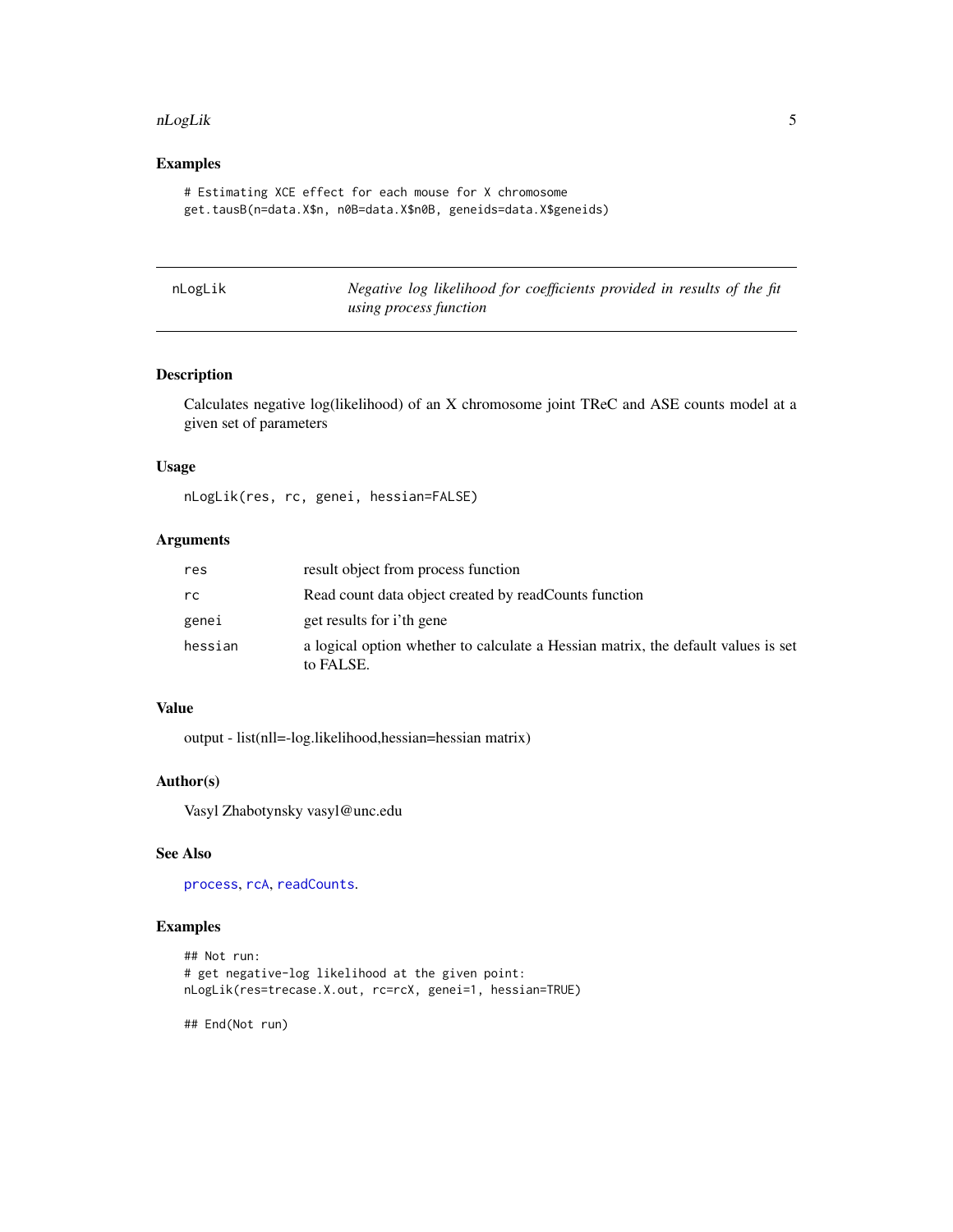#### <span id="page-4-0"></span>nLogLik 5

#### Examples

```
# Estimating XCE effect for each mouse for X chromosome
get.tausB(n=data.X$n, n0B=data.X$n0B, geneids=data.X$geneids)
```
<span id="page-4-1"></span>

| nLogLik |                        | Negative log likelihood for coefficients provided in results of the fit |  |  |
|---------|------------------------|-------------------------------------------------------------------------|--|--|
|         | using process function |                                                                         |  |  |

#### Description

Calculates negative log(likelihood) of an X chromosome joint TReC and ASE counts model at a given set of parameters

#### Usage

nLogLik(res, rc, genei, hessian=FALSE)

#### Arguments

| res     | result object from process function                                                            |
|---------|------------------------------------------------------------------------------------------------|
| rc      | Read count data object created by readCounts function                                          |
| genei   | get results for i'th gene                                                                      |
| hessian | a logical option whether to calculate a Hessian matrix, the default values is set<br>to FALSE. |

#### Value

output - list(nll=-log.likelihood,hessian=hessian matrix)

#### Author(s)

Vasyl Zhabotynsky vasyl@unc.edu

#### See Also

[process](#page-5-1), [rcA](#page-6-1), [readCounts](#page-9-1).

#### Examples

```
## Not run:
# get negative-log likelihood at the given point:
nLogLik(res=trecase.X.out, rc=rcX, genei=1, hessian=TRUE)
```
## End(Not run)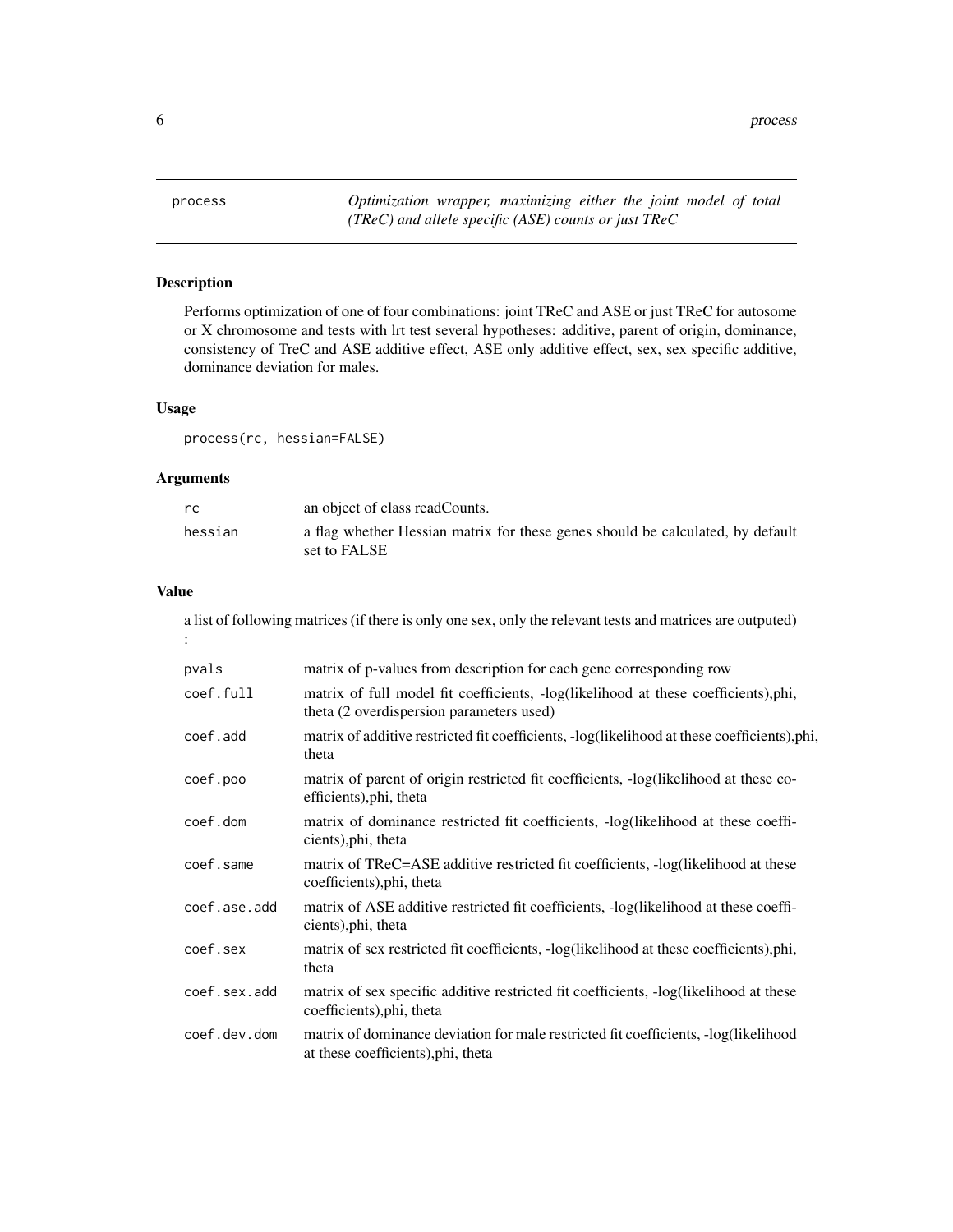<span id="page-5-0"></span>6 process and the contract of the contract of the contract of the contract of the contract of the contract of the contract of the contract of the contract of the contract of the contract of the contract of the contract of

<span id="page-5-1"></span>process *Optimization wrapper, maximizing either the joint model of total (TReC) and allele specific (ASE) counts or just TReC*

#### Description

Performs optimization of one of four combinations: joint TReC and ASE or just TReC for autosome or X chromosome and tests with lrt test several hypotheses: additive, parent of origin, dominance, consistency of TreC and ASE additive effect, ASE only additive effect, sex, sex specific additive, dominance deviation for males.

#### Usage

process(rc, hessian=FALSE)

#### Arguments

| rc.     | an object of class readCounts.                                                                 |
|---------|------------------------------------------------------------------------------------------------|
| hessian | a flag whether Hessian matrix for these genes should be calculated, by default<br>set to FALSE |

#### Value

a list of following matrices (if there is only one sex, only the relevant tests and matrices are outputed) :

| pvals        | matrix of p-values from description for each gene corresponding row                                                            |
|--------------|--------------------------------------------------------------------------------------------------------------------------------|
| coef.full    | matrix of full model fit coefficients, -log(likelihood at these coefficients),phi,<br>theta (2 overdispersion parameters used) |
| coef.add     | matrix of additive restricted fit coefficients, -log(likelihood at these coefficients),phi,<br>theta                           |
| coef.poo     | matrix of parent of origin restricted fit coefficients, -log(likelihood at these co-<br>efficients), phi, theta                |
| coef.dom     | matrix of dominance restricted fit coefficients, -log(likelihood at these coeffi-<br>cients), phi, theta                       |
| coef.same    | matrix of TReC=ASE additive restricted fit coefficients, -log(likelihood at these<br>coefficients), phi, theta                 |
| coef.ase.add | matrix of ASE additive restricted fit coefficients, -log(likelihood at these coeffi-<br>cients), phi, theta                    |
| coef.sex     | matrix of sex restricted fit coefficients, -log(likelihood at these coefficients),phi,<br>theta                                |
| coef.sex.add | matrix of sex specific additive restricted fit coefficients, -log(likelihood at these<br>coefficients), phi, theta             |
| coef.dev.dom | matrix of dominance deviation for male restricted fit coefficients, -log(likelihood<br>at these coefficients), phi, theta      |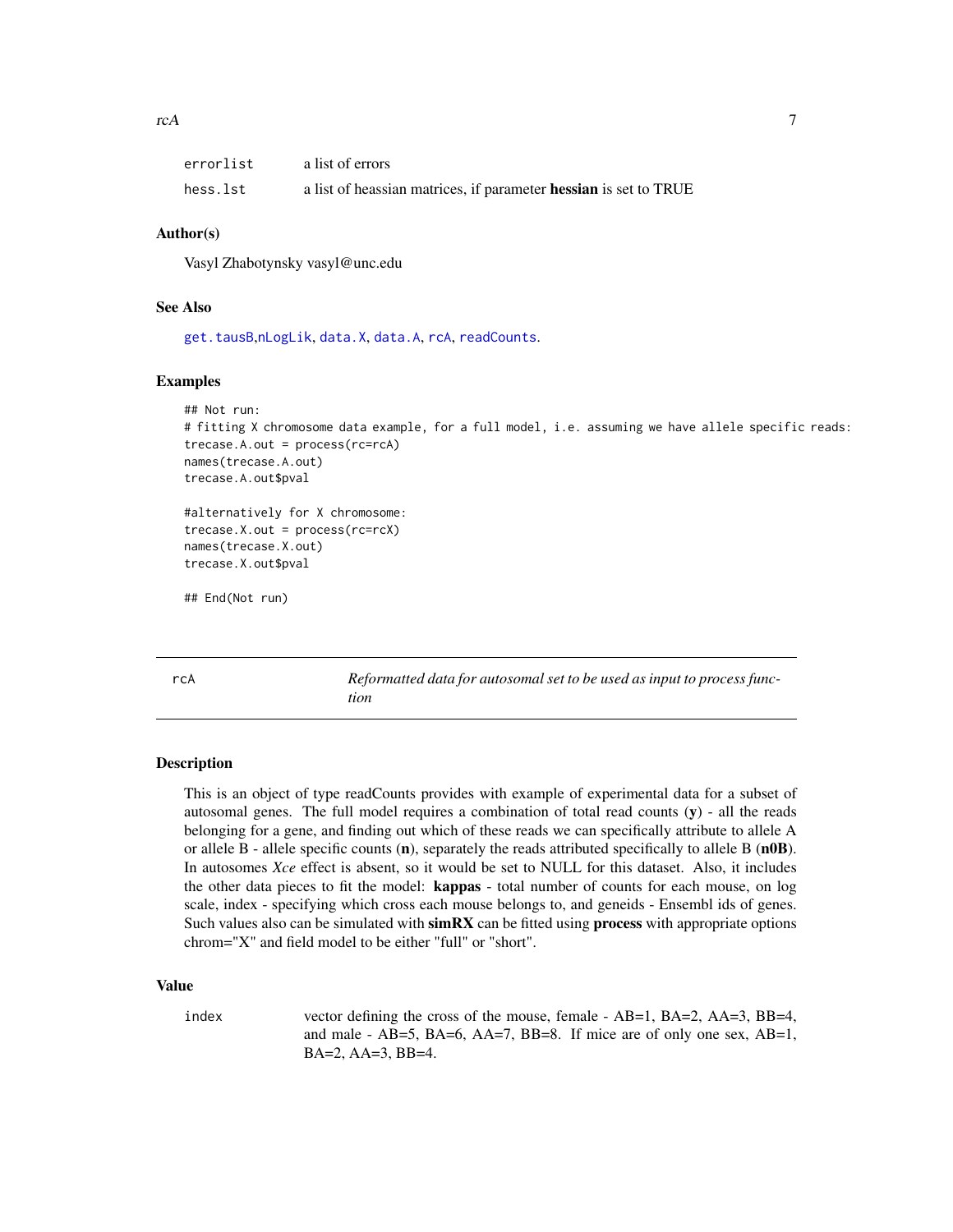<span id="page-6-0"></span>

| errorlist | a list of errors                                                 |
|-----------|------------------------------------------------------------------|
| hess.lst  | a list of heassian matrices, if parameter hessian is set to TRUE |

#### Author(s)

Vasyl Zhabotynsky vasyl@unc.edu

#### See Also

[get.tausB](#page-3-1),[nLogLik](#page-4-1), [data.X](#page-2-1), [data.A](#page-1-1), [rcA](#page-6-1), [readCounts](#page-9-1).

#### Examples

```
## Not run:
# fitting X chromosome data example, for a full model, i.e. assuming we have allele specific reads:
trecase.A.out = process(rc=rcA)
names(trecase.A.out)
trecase.A.out$pval
#alternatively for X chromosome:
trecase.X.out = process(rc=rcX)
names(trecase.X.out)
trecase.X.out$pval
```
## End(Not run)

<span id="page-6-1"></span>rcA *Reformatted data for autosomal set to be used as input to process function*

#### Description

This is an object of type readCounts provides with example of experimental data for a subset of autosomal genes. The full model requires a combination of total read counts  $(y)$  - all the reads belonging for a gene, and finding out which of these reads we can specifically attribute to allele A or allele B - allele specific counts  $(n)$ , separately the reads attributed specifically to allele B  $(n0B)$ . In autosomes *Xce* effect is absent, so it would be set to NULL for this dataset. Also, it includes the other data pieces to fit the model: **kappas** - total number of counts for each mouse, on log scale, index - specifying which cross each mouse belongs to, and geneids - Ensembl ids of genes. Such values also can be simulated with simRX can be fitted using process with appropriate options chrom="X" and field model to be either "full" or "short".

#### Value

index vector defining the cross of the mouse, female - AB=1, BA=2, AA=3, BB=4, and male - AB=5, BA=6, AA=7, BB=8. If mice are of only one sex, AB=1, BA=2, AA=3, BB=4.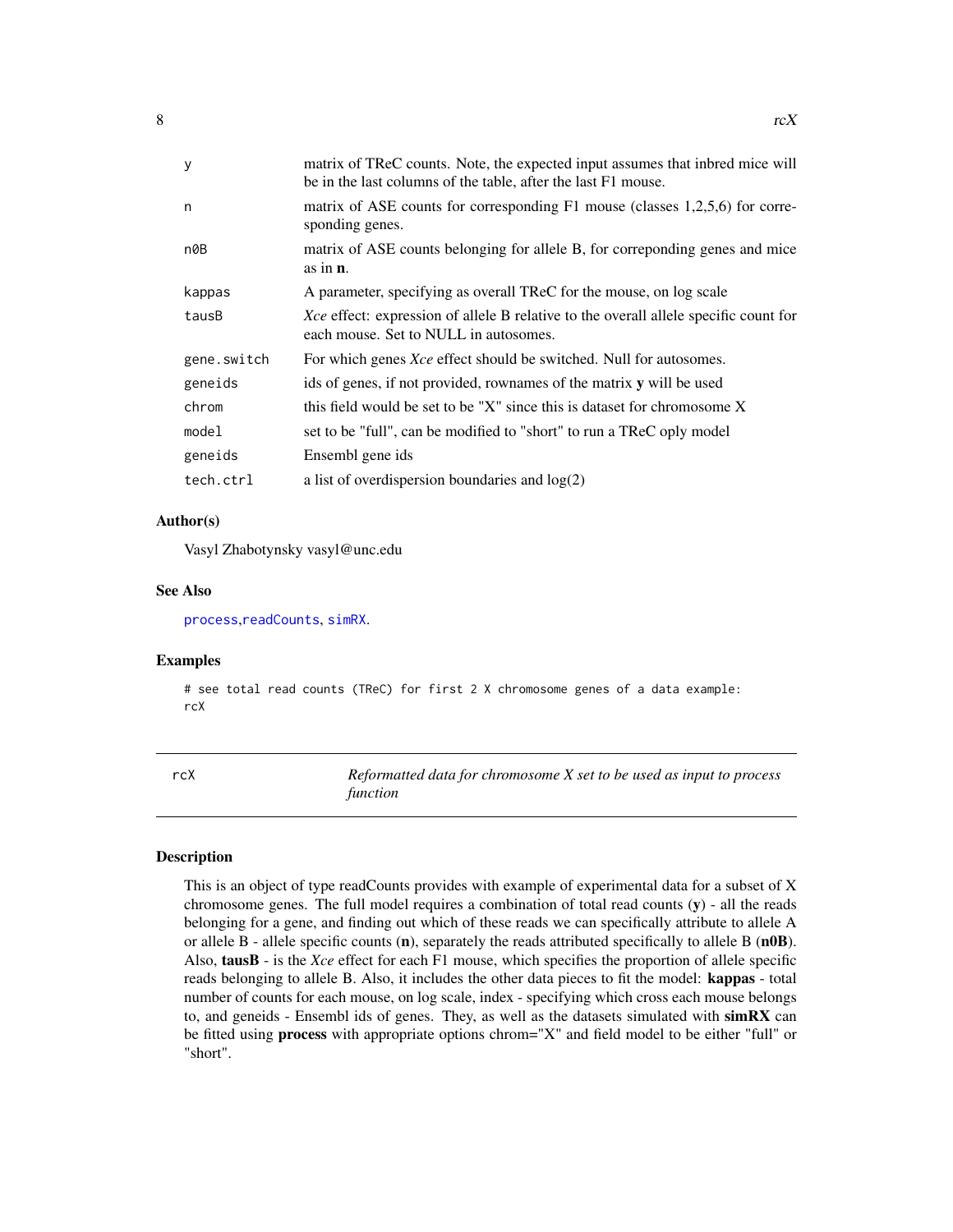<span id="page-7-0"></span>

| matrix of TReC counts. Note, the expected input assumes that inbred mice will<br>be in the last columns of the table, after the last F1 mouse. |
|------------------------------------------------------------------------------------------------------------------------------------------------|
| matrix of ASE counts for corresponding F1 mouse (classes 1,2,5,6) for corre-<br>sponding genes.                                                |
| matrix of ASE counts belonging for allele B, for corresponding genes and mice<br>as in $\mathbf{n}$ .                                          |
| A parameter, specifying as overall TReC for the mouse, on log scale                                                                            |
| Xce effect: expression of allele B relative to the overall allele specific count for<br>each mouse. Set to NULL in autosomes.                  |
| For which genes <i>Xce</i> effect should be switched. Null for autosomes.                                                                      |
| ids of genes, if not provided, rownames of the matrix y will be used                                                                           |
| this field would be set to be "X" since this is dataset for chromosome X                                                                       |
| set to be "full", can be modified to "short" to run a TReC oply model                                                                          |
| Ensembl gene ids                                                                                                                               |
| a list of overdispersion boundaries and $log(2)$                                                                                               |
|                                                                                                                                                |

#### Author(s)

Vasyl Zhabotynsky vasyl@unc.edu

#### See Also

[process](#page-5-1),[readCounts](#page-9-1), [simRX](#page-10-1).

#### Examples

# see total read counts (TReC) for first 2 X chromosome genes of a data example: rcX

<span id="page-7-1"></span>rcX *Reformatted data for chromosome X set to be used as input to process function*

#### Description

This is an object of type readCounts provides with example of experimental data for a subset of X chromosome genes. The full model requires a combination of total read counts  $(y)$  - all the reads belonging for a gene, and finding out which of these reads we can specifically attribute to allele A or allele B - allele specific counts (n), separately the reads attributed specifically to allele B (n0B). Also, tausB - is the *Xce* effect for each F1 mouse, which specifies the proportion of allele specific reads belonging to allele B. Also, it includes the other data pieces to fit the model: kappas - total number of counts for each mouse, on log scale, index - specifying which cross each mouse belongs to, and geneids - Ensembl ids of genes. They, as well as the datasets simulated with  $\textbf{simRX}$  can be fitted using **process** with appropriate options chrom="X" and field model to be either "full" or "short".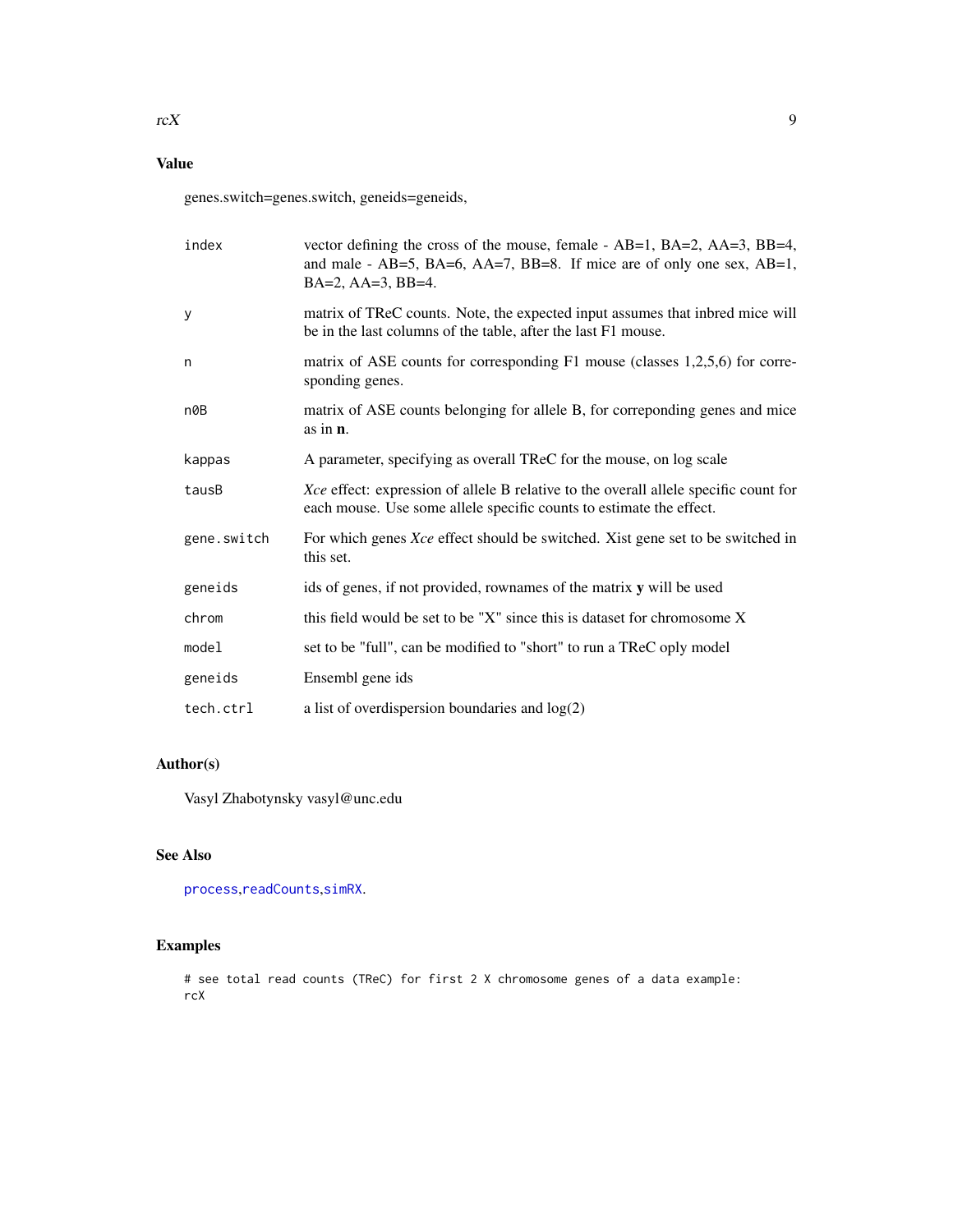#### <span id="page-8-0"></span>Value

genes.switch=genes.switch, geneids=geneids,

| index       | vector defining the cross of the mouse, female - AB=1, BA=2, AA=3, BB=4,<br>and male - $AB=5$ , $BA=6$ , $AA=7$ , $BB=8$ . If mice are of only one sex, $AB=1$ ,<br>$BA=2$ , $AA=3$ , $BB=4$ . |
|-------------|------------------------------------------------------------------------------------------------------------------------------------------------------------------------------------------------|
| У           | matrix of TReC counts. Note, the expected input assumes that inbred mice will<br>be in the last columns of the table, after the last F1 mouse.                                                 |
| n           | matrix of ASE counts for corresponding F1 mouse (classes 1,2,5,6) for corre-<br>sponding genes.                                                                                                |
| n0B         | matrix of ASE counts belonging for allele B, for correponding genes and mice<br>as in $n$ .                                                                                                    |
| kappas      | A parameter, specifying as overall TReC for the mouse, on log scale                                                                                                                            |
| tausB       | Xce effect: expression of allele B relative to the overall allele specific count for<br>each mouse. Use some allele specific counts to estimate the effect.                                    |
| gene.switch | For which genes Xce effect should be switched. Xist gene set to be switched in<br>this set.                                                                                                    |
| geneids     | ids of genes, if not provided, rownames of the matrix y will be used                                                                                                                           |
| chrom       | this field would be set to be "X" since this is dataset for chromosome X                                                                                                                       |
| model       | set to be "full", can be modified to "short" to run a TReC oply model                                                                                                                          |
| geneids     | Ensembl gene ids                                                                                                                                                                               |
| tech.ctrl   | a list of overdispersion boundaries and $log(2)$                                                                                                                                               |

#### Author(s)

Vasyl Zhabotynsky vasyl@unc.edu

#### See Also

[process](#page-5-1),[readCounts](#page-9-1),[simRX](#page-10-1).

#### Examples

# see total read counts (TReC) for first 2 X chromosome genes of a data example: rcX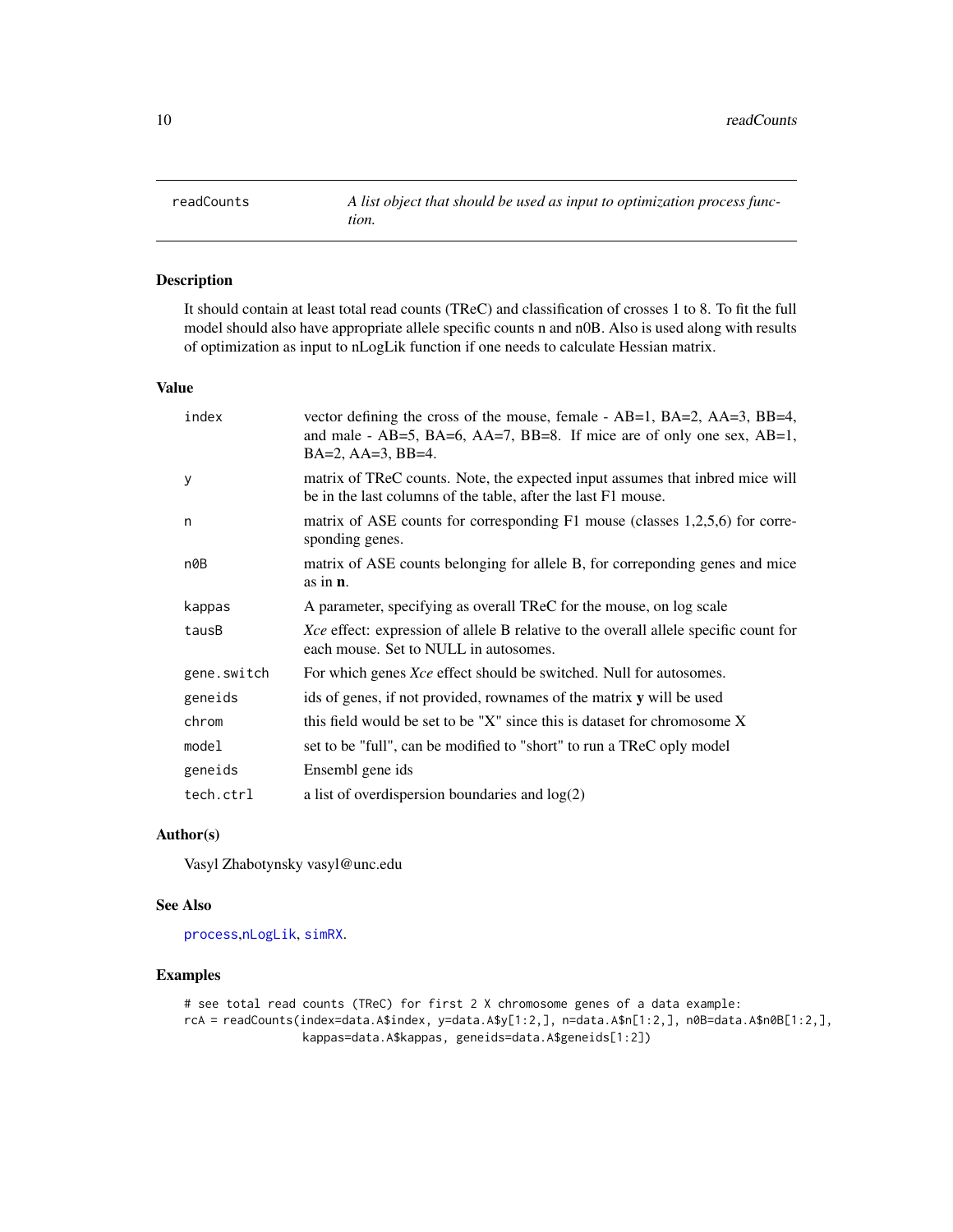<span id="page-9-1"></span><span id="page-9-0"></span>readCounts *A list object that should be used as input to optimization process function.*

#### Description

It should contain at least total read counts (TReC) and classification of crosses 1 to 8. To fit the full model should also have appropriate allele specific counts n and n0B. Also is used along with results of optimization as input to nLogLik function if one needs to calculate Hessian matrix.

#### Value

| index       | vector defining the cross of the mouse, female - $AB=1$ , $BA=2$ , $AA=3$ , $BB=4$ ,<br>and male - AB=5, BA=6, AA=7, BB=8. If mice are of only one sex, AB=1,<br>$BA=2, AA=3, BB=4.$ |
|-------------|--------------------------------------------------------------------------------------------------------------------------------------------------------------------------------------|
| y           | matrix of TReC counts. Note, the expected input assumes that inbred mice will<br>be in the last columns of the table, after the last F1 mouse.                                       |
| n           | matrix of ASE counts for corresponding F1 mouse (classes 1,2,5,6) for corre-<br>sponding genes.                                                                                      |
| n0B         | matrix of ASE counts belonging for allele B, for correponding genes and mice<br>as in $\mathbf{n}$ .                                                                                 |
| kappas      | A parameter, specifying as overall TReC for the mouse, on log scale                                                                                                                  |
| tausB       | Xce effect: expression of allele B relative to the overall allele specific count for<br>each mouse. Set to NULL in autosomes.                                                        |
| gene.switch | For which genes <i>Xce</i> effect should be switched. Null for autosomes.                                                                                                            |
| geneids     | ids of genes, if not provided, rownames of the matrix y will be used                                                                                                                 |
| chrom       | this field would be set to be "X" since this is dataset for chromosome X                                                                                                             |
| model       | set to be "full", can be modified to "short" to run a TReC oply model                                                                                                                |
| geneids     | Ensembl gene ids                                                                                                                                                                     |
| tech.ctrl   | a list of overdispersion boundaries and $log(2)$                                                                                                                                     |

#### Author(s)

Vasyl Zhabotynsky vasyl@unc.edu

#### See Also

[process](#page-5-1),[nLogLik](#page-4-1), [simRX](#page-10-1).

#### Examples

```
# see total read counts (TReC) for first 2 X chromosome genes of a data example:
rcA = readCounts(index=data.A$index, y=data.A$y[1:2,], n=data.A$n[1:2,], n0B=data.A$n0B[1:2,],
                 kappas=data.A$kappas, geneids=data.A$geneids[1:2])
```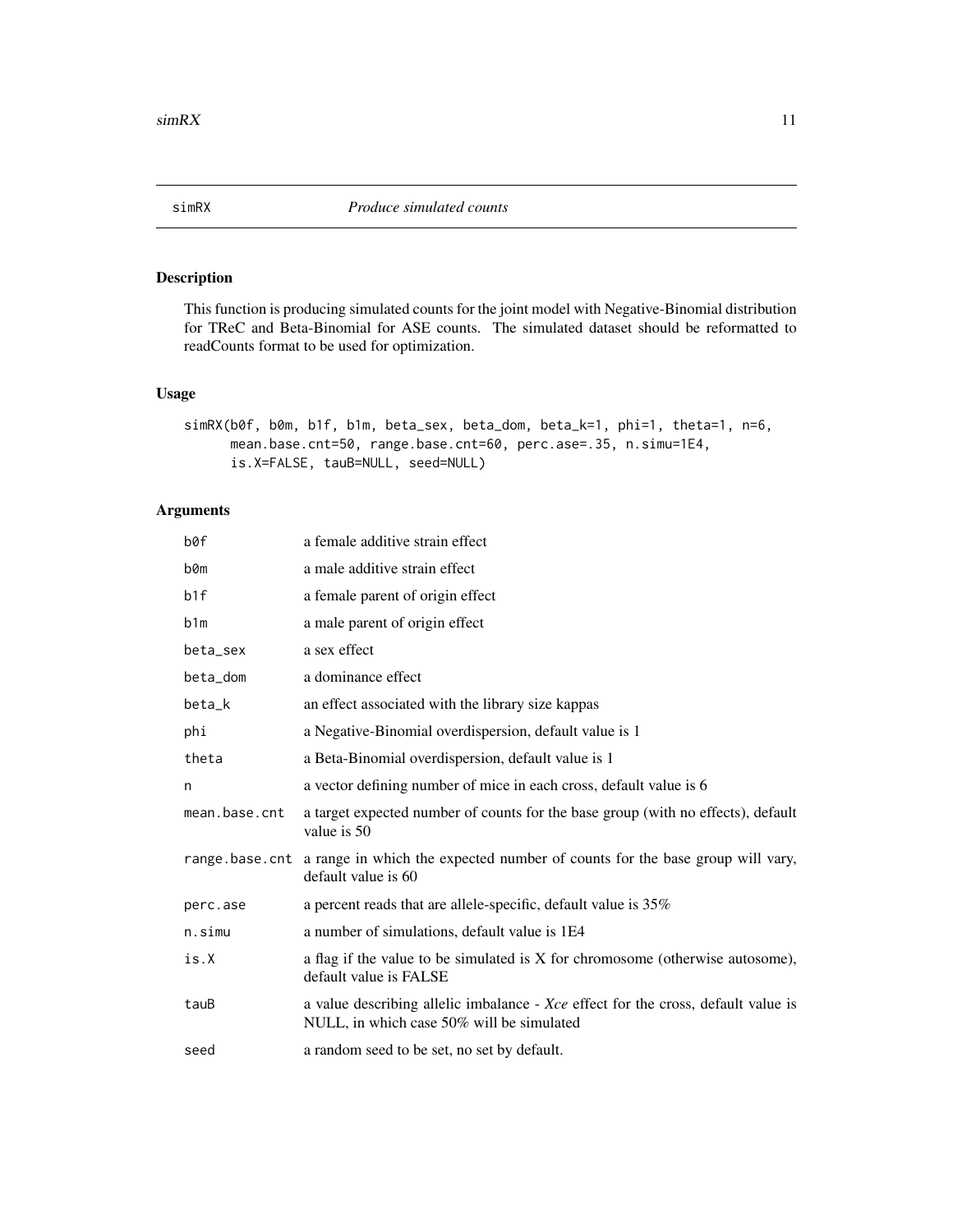<span id="page-10-1"></span><span id="page-10-0"></span>

This function is producing simulated counts for the joint model with Negative-Binomial distribution for TReC and Beta-Binomial for ASE counts. The simulated dataset should be reformatted to readCounts format to be used for optimization.

#### Usage

```
simRX(b0f, b0m, b1f, b1m, beta_sex, beta_dom, beta_k=1, phi=1, theta=1, n=6,
     mean.base.cnt=50, range.base.cnt=60, perc.ase=.35, n.simu=1E4,
     is.X=FALSE, tauB=NULL, seed=NULL)
```
#### Arguments

| b0f           | a female additive strain effect                                                                                                |
|---------------|--------------------------------------------------------------------------------------------------------------------------------|
| b0m           | a male additive strain effect                                                                                                  |
| b1f           | a female parent of origin effect                                                                                               |
| b1m           | a male parent of origin effect                                                                                                 |
| beta_sex      | a sex effect                                                                                                                   |
| beta_dom      | a dominance effect                                                                                                             |
| beta_k        | an effect associated with the library size kappas                                                                              |
| phi           | a Negative-Binomial overdispersion, default value is 1                                                                         |
| theta         | a Beta-Binomial overdispersion, default value is 1                                                                             |
| n             | a vector defining number of mice in each cross, default value is 6                                                             |
| mean.base.cnt | a target expected number of counts for the base group (with no effects), default<br>value is 50                                |
|               | range base cnt a range in which the expected number of counts for the base group will vary,<br>default value is 60             |
| perc.ase      | a percent reads that are allele-specific, default value is 35%                                                                 |
| n.simu        | a number of simulations, default value is 1E4                                                                                  |
| is.X          | a flag if the value to be simulated is X for chromosome (otherwise autosome),<br>default value is FALSE                        |
| tauB          | a value describing allelic imbalance - Xce effect for the cross, default value is<br>NULL, in which case 50% will be simulated |
| seed          | a random seed to be set, no set by default.                                                                                    |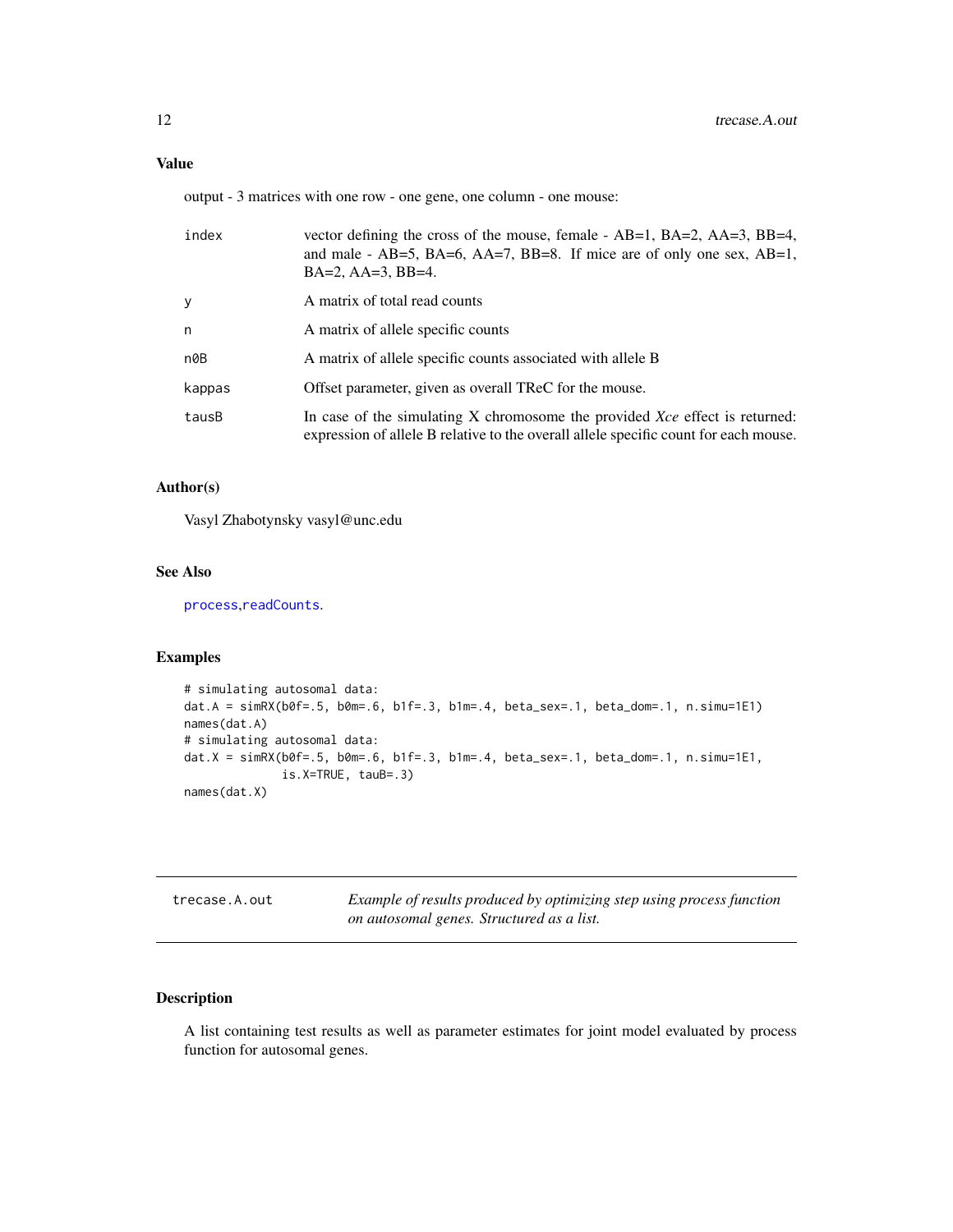#### <span id="page-11-0"></span>Value

output - 3 matrices with one row - one gene, one column - one mouse:

| index           | vector defining the cross of the mouse, female - AB=1, BA=2, AA=3, BB=4,<br>and male - $AB=5$ , $BA=6$ , $AA=7$ , $BB=8$ . If mice are of only one sex, $AB=1$ ,<br>$BA=2$ , $AA=3$ , $BB=4$ . |
|-----------------|------------------------------------------------------------------------------------------------------------------------------------------------------------------------------------------------|
| У               | A matrix of total read counts                                                                                                                                                                  |
| n               | A matrix of allele specific counts                                                                                                                                                             |
| n0 <sub>B</sub> | A matrix of allele specific counts associated with allele B                                                                                                                                    |
| kappas          | Offset parameter, given as overall TReC for the mouse.                                                                                                                                         |
| tausB           | In case of the simulating X chromosome the provided Xce effect is returned:<br>expression of allele B relative to the overall allele specific count for each mouse.                            |

#### Author(s)

Vasyl Zhabotynsky vasyl@unc.edu

#### See Also

[process](#page-5-1),[readCounts](#page-9-1).

#### Examples

```
# simulating autosomal data:
dat.A = simRX(b0f=.5, b0m=.6, b1f=.3, b1m=.4, beta_sex=.1, beta_dom=.1, n.simu=1E1)
names(dat.A)
# simulating autosomal data:
dat.X = simRX(b0f=.5, b0m=.6, b1f=.3, b1m=.4, beta_sex=.1, beta_dom=.1, n.simu=1E1,
             is.X=TRUE, tauB=.3)
names(dat.X)
```
trecase.A.out *Example of results produced by optimizing step using process function on autosomal genes. Structured as a list.*

#### Description

A list containing test results as well as parameter estimates for joint model evaluated by process function for autosomal genes.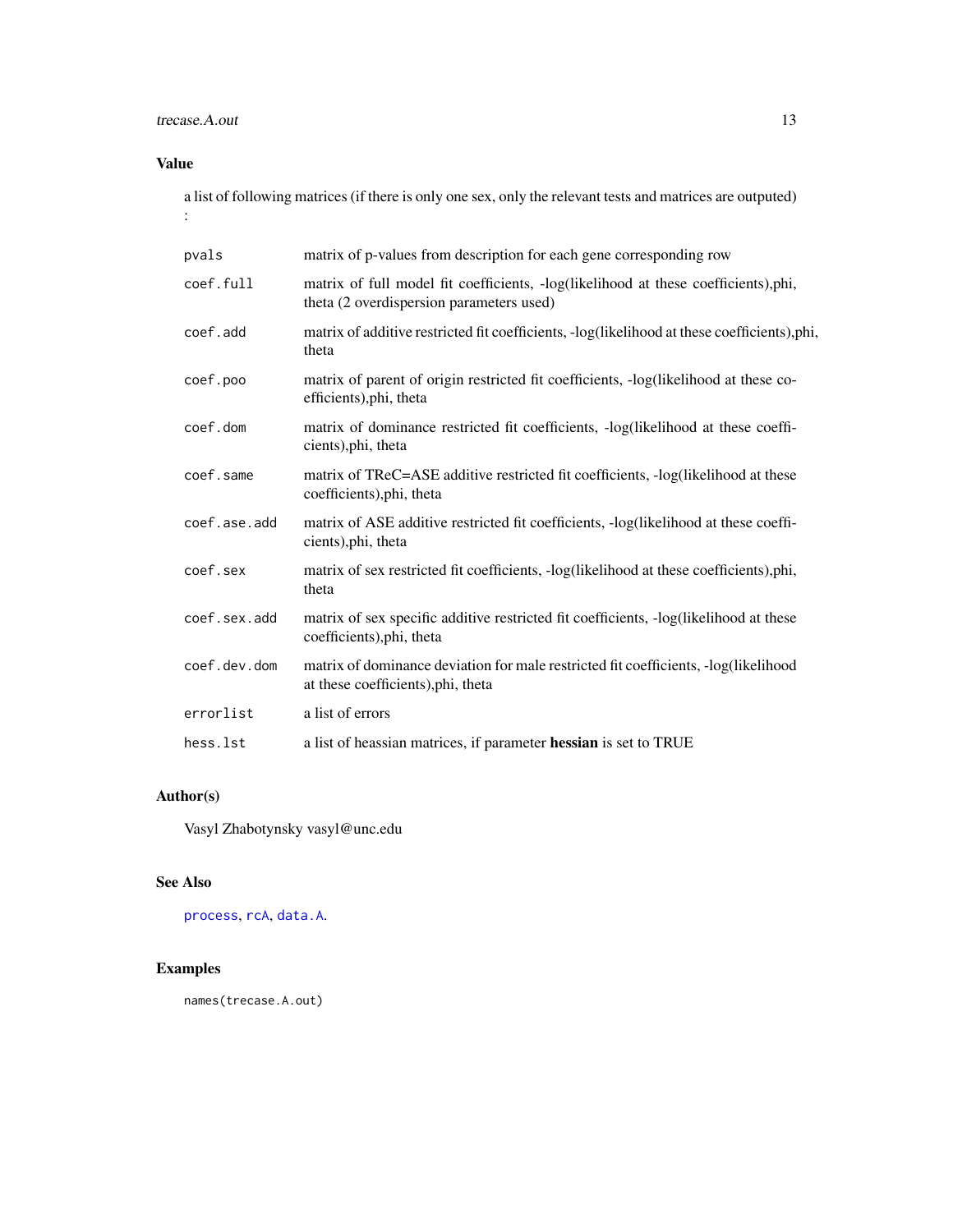#### <span id="page-12-0"></span>trecase.A.out 13

#### Value

a list of following matrices (if there is only one sex, only the relevant tests and matrices are outputed) :

| pvals        | matrix of p-values from description for each gene corresponding row                                                            |
|--------------|--------------------------------------------------------------------------------------------------------------------------------|
| coef.full    | matrix of full model fit coefficients, -log(likelihood at these coefficients),phi,<br>theta (2 overdispersion parameters used) |
| coef.add     | matrix of additive restricted fit coefficients, -log(likelihood at these coefficients),phi,<br>theta                           |
| coef.poo     | matrix of parent of origin restricted fit coefficients, -log(likelihood at these co-<br>efficients), phi, theta                |
| coef.dom     | matrix of dominance restricted fit coefficients, -log(likelihood at these coeffi-<br>cients), phi, theta                       |
| coef.same    | matrix of TReC=ASE additive restricted fit coefficients, -log(likelihood at these<br>coefficients), phi, theta                 |
| coef.ase.add | matrix of ASE additive restricted fit coefficients, -log(likelihood at these coeffi-<br>cients), phi, theta                    |
| coef.sex     | matrix of sex restricted fit coefficients, -log(likelihood at these coefficients),phi,<br>theta                                |
| coef.sex.add | matrix of sex specific additive restricted fit coefficients, -log(likelihood at these<br>coefficients), phi, theta             |
| coef.dev.dom | matrix of dominance deviation for male restricted fit coefficients, -log(likelihood<br>at these coefficients), phi, theta      |
| errorlist    | a list of errors                                                                                                               |
| hess.lst     | a list of heassian matrices, if parameter hessian is set to TRUE                                                               |

#### Author(s)

Vasyl Zhabotynsky vasyl@unc.edu

#### See Also

[process](#page-5-1), [rcA](#page-6-1), [data.A](#page-1-1).

#### Examples

names(trecase.A.out)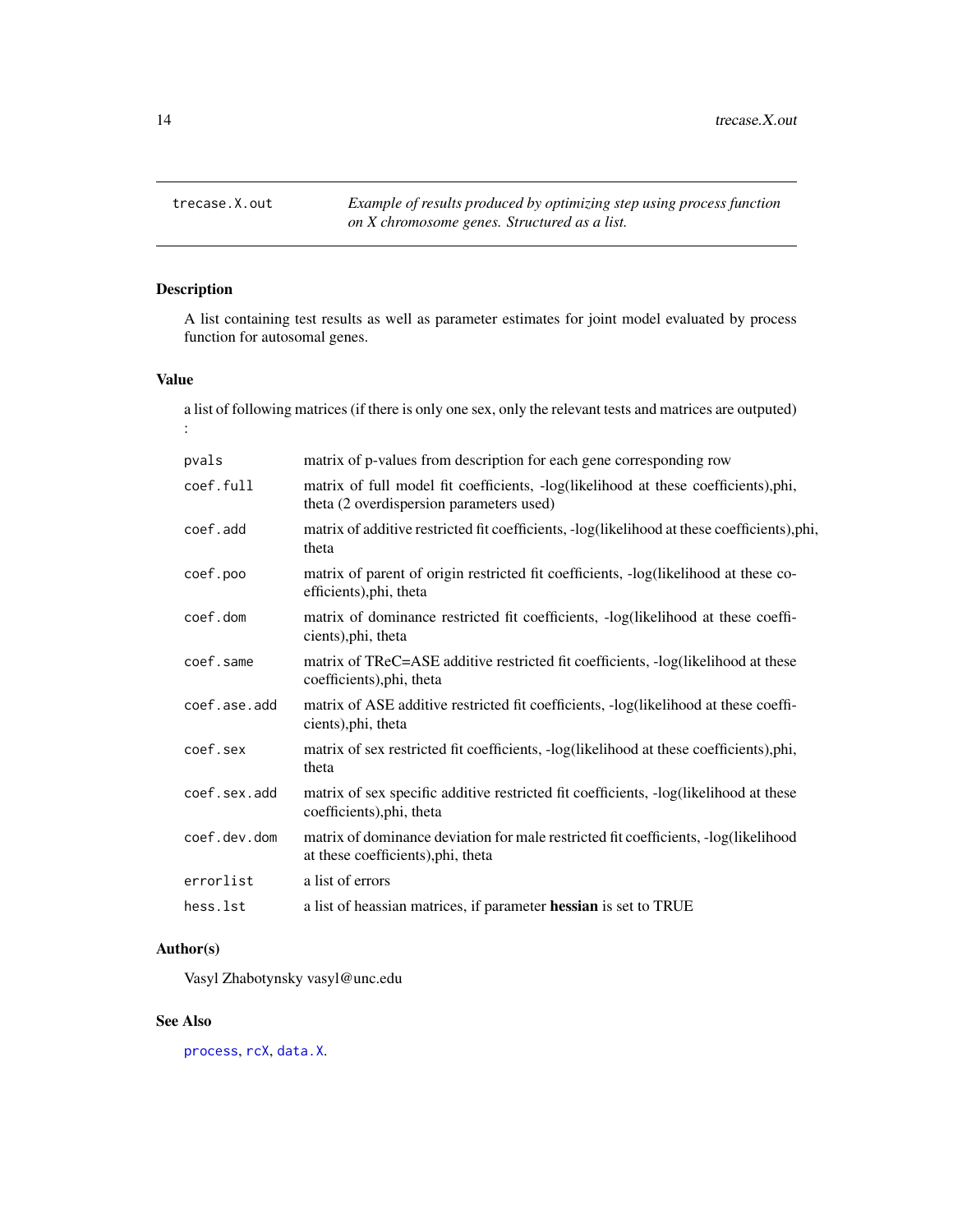<span id="page-13-0"></span>

A list containing test results as well as parameter estimates for joint model evaluated by process function for autosomal genes.

#### Value

a list of following matrices (if there is only one sex, only the relevant tests and matrices are outputed) :

| pvals        | matrix of p-values from description for each gene corresponding row                                                            |
|--------------|--------------------------------------------------------------------------------------------------------------------------------|
| coef.full    | matrix of full model fit coefficients, -log(likelihood at these coefficients),phi,<br>theta (2 overdispersion parameters used) |
| coef.add     | matrix of additive restricted fit coefficients, -log(likelihood at these coefficients), phi,<br>theta                          |
| coef.poo     | matrix of parent of origin restricted fit coefficients, -log(likelihood at these co-<br>efficients), phi, theta                |
| coef.dom     | matrix of dominance restricted fit coefficients, -log(likelihood at these coeffi-<br>cients), phi, theta                       |
| coef.same    | matrix of TReC=ASE additive restricted fit coefficients, -log(likelihood at these<br>coefficients), phi, theta                 |
| coef.ase.add | matrix of ASE additive restricted fit coefficients, -log(likelihood at these coeffi-<br>cients), phi, theta                    |
| coef.sex     | matrix of sex restricted fit coefficients, -log(likelihood at these coefficients),phi,<br>theta                                |
| coef.sex.add | matrix of sex specific additive restricted fit coefficients, -log(likelihood at these<br>coefficients), phi, theta             |
| coef.dev.dom | matrix of dominance deviation for male restricted fit coefficients, -log(likelihood<br>at these coefficients), phi, theta      |
| errorlist    | a list of errors                                                                                                               |
| hess.lst     | a list of heassian matrices, if parameter hessian is set to TRUE                                                               |

#### Author(s)

Vasyl Zhabotynsky vasyl@unc.edu

#### See Also

[process](#page-5-1), [rcX](#page-7-1), [data.X](#page-2-1).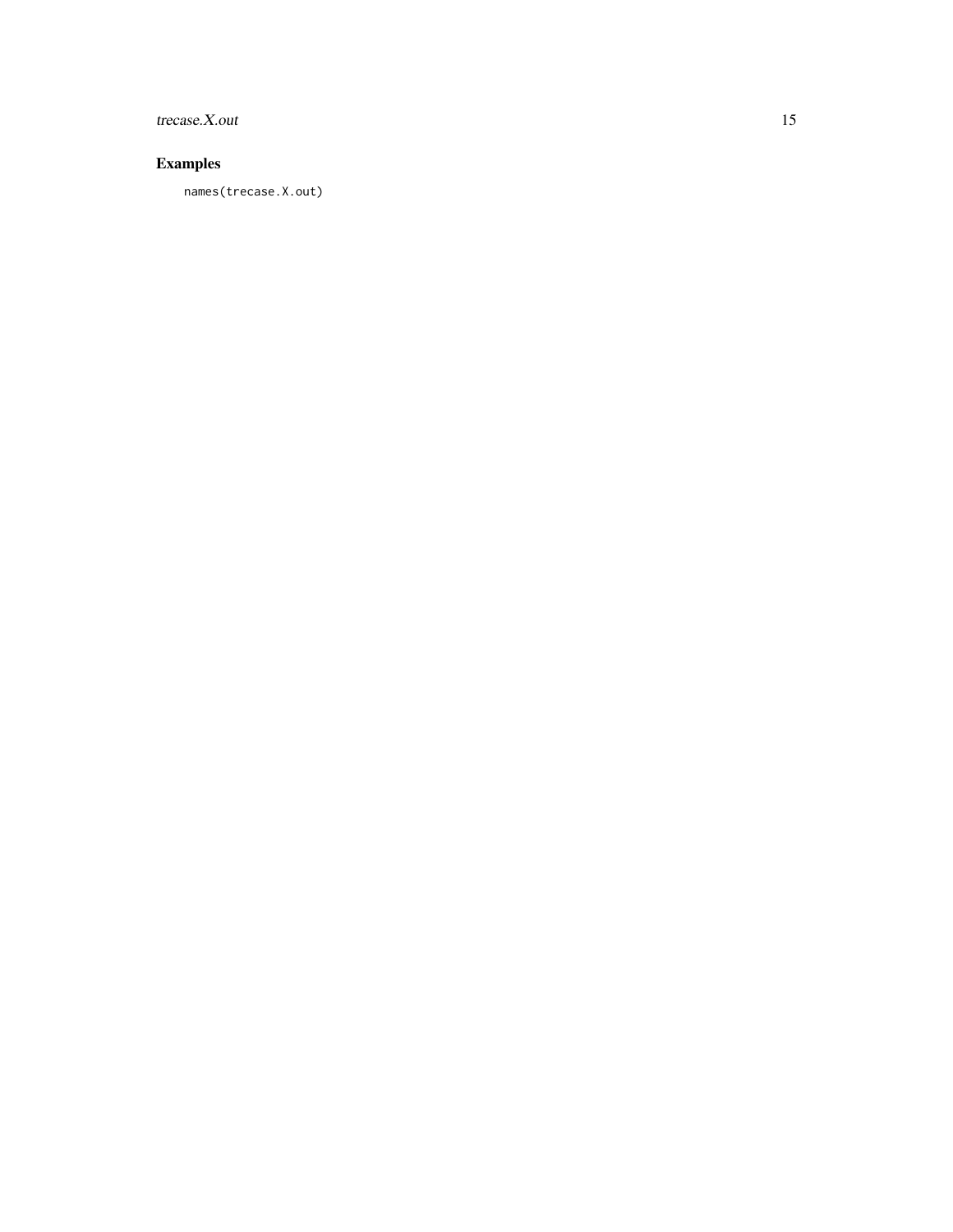trecase.X.out 15

#### Examples

names(trecase.X.out)